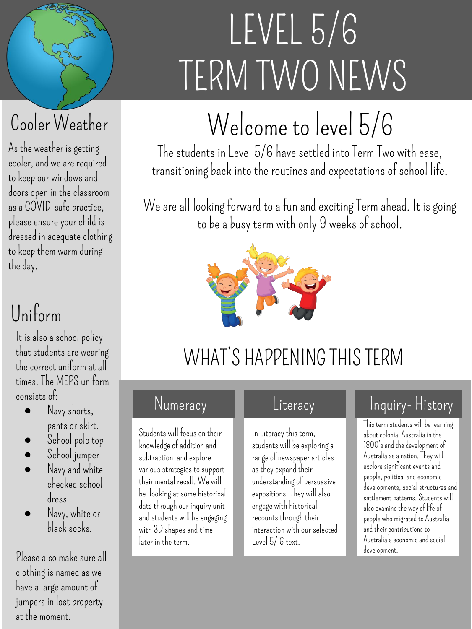# LEVEL 5/6 TERM TWO NEWS

## Welcome to level 5/6

The students in Level 5/6 have settled into Term Two with ease, transitioning back into the routines and expectations of school life.

We are all looking forward to a fun and exciting Term ahead. It is going to be a busy term with only 9 weeks of school.



## WHAT'S HAPPENING THIS TERM

#### Numeracy

Students will focus on their knowledge of addition and subtraction and explore various strategies to support their mental recall. We will be looking at some historical data through our inquiry unit and students will be engaging with 3D shapes and time later in the term.

#### **Literacy**

In Literacy this term, students will be exploring a range of newspaper articles as they expand their understanding of persuasive expositions. They will also engage with historical recounts through their interaction with our selected Level 5/ 6 text.

#### Inquiry- History

This term students will be learning about colonial Australia in the 1800's and the development of Australia as a nation. They will explore significant events and people, political and economic developments, social structures and settlement patterns. Students will also examine the way of life of people who migrated to Australia and their contributions to Australia's economic and social development.

#### As the weather is getting Cooler Weather

cooler, and we are required to keep our windows and doors open in the classroom as a COVID-safe practice, please ensure your child is dressed in adequate clothing to keep them warm during the day.

## Uniform

It is also a school policy that students are wearing the correct uniform at all times. The MEPS uniform consists of:

- Navy shorts, pants or skirt.
- School polo top
- School jumper
- Navy and white checked school dress
- Navy, white or black socks.

Please also make sure all clothing is named as we have a large amount of jumpers in lost property at the moment.